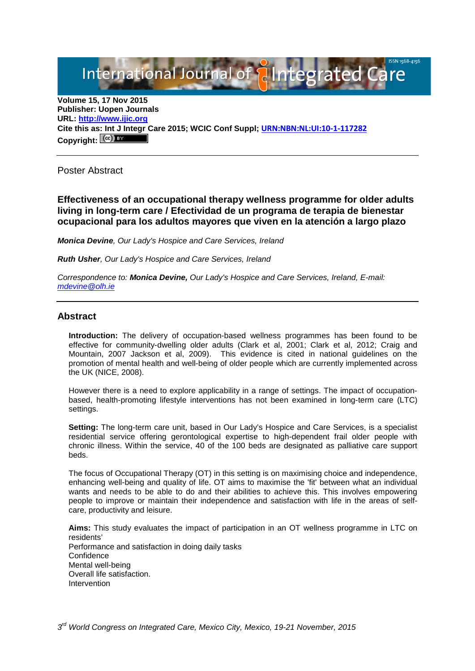International Journal of **Plntegrated Ca** 

**Volume 15, 17 Nov 2015 Publisher: Uopen Journals URL: [http://www.ijic.org](http://www.ijic.org/) Cite this as: Int J Integr Care 2015; WCIC Conf Suppl; [URN:NBN:NL:UI:10-1-117282](http://persistent-identifier.nl/?identifier=URN:NBN:NL:UI:10-1-117282)** Copyright:  $(cc)$ 

Poster Abstract

**Effectiveness of an occupational therapy wellness programme for older adults living in long-term care / Efectividad de un programa de terapia de bienestar ocupacional para los adultos mayores que viven en la atención a largo plazo**

*Monica Devine, Our Lady's Hospice and Care Services, Ireland*

*Ruth Usher, Our Lady's Hospice and Care Services, Ireland*

*Correspondence to: Monica Devine, Our Lady's Hospice and Care Services, Ireland, E-mail: [mdevine@olh.ie](mailto:mdevine@olh.ie)*

## **Abstract**

**Introduction:** The delivery of occupation-based wellness programmes has been found to be effective for community-dwelling older adults (Clark et al, 2001; Clark et al, 2012; Craig and Mountain, 2007 Jackson et al, 2009). This evidence is cited in national guidelines on the promotion of mental health and well-being of older people which are currently implemented across the UK (NICE, 2008).

However there is a need to explore applicability in a range of settings. The impact of occupationbased, health-promoting lifestyle interventions has not been examined in long-term care (LTC) settings.

**Setting:** The long-term care unit, based in Our Lady's Hospice and Care Services, is a specialist residential service offering gerontological expertise to high-dependent frail older people with chronic illness. Within the service, 40 of the 100 beds are designated as palliative care support beds.

The focus of Occupational Therapy (OT) in this setting is on maximising choice and independence, enhancing well-being and quality of life. OT aims to maximise the 'fit' between what an individual wants and needs to be able to do and their abilities to achieve this. This involves empowering people to improve or maintain their independence and satisfaction with life in the areas of selfcare, productivity and leisure.

**Aims:** This study evaluates the impact of participation in an OT wellness programme in LTC on residents' Performance and satisfaction in doing daily tasks Confidence Mental well-being Overall life satisfaction. Intervention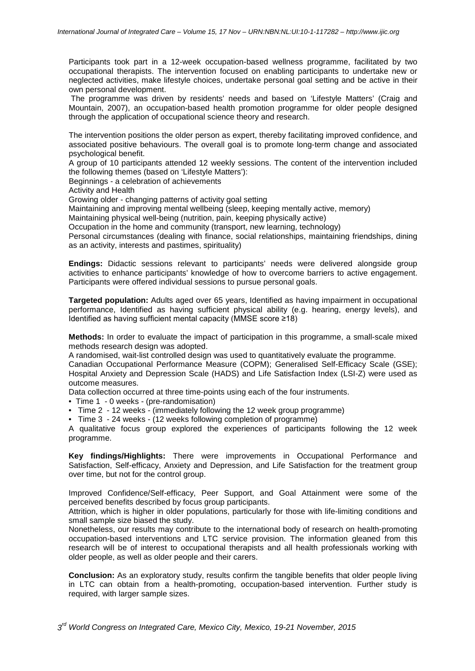Participants took part in a 12-week occupation-based wellness programme, facilitated by two occupational therapists. The intervention focused on enabling participants to undertake new or neglected activities, make lifestyle choices, undertake personal goal setting and be active in their own personal development.

The programme was driven by residents' needs and based on 'Lifestyle Matters' (Craig and Mountain, 2007), an occupation-based health promotion programme for older people designed through the application of occupational science theory and research.

The intervention positions the older person as expert, thereby facilitating improved confidence, and associated positive behaviours. The overall goal is to promote long-term change and associated psychological benefit.

A group of 10 participants attended 12 weekly sessions. The content of the intervention included the following themes (based on 'Lifestyle Matters'):

Beginnings - a celebration of achievements

Activity and Health

Growing older - changing patterns of activity goal setting

Maintaining and improving mental wellbeing (sleep, keeping mentally active, memory)

Maintaining physical well-being (nutrition, pain, keeping physically active)

Occupation in the home and community (transport, new learning, technology)

Personal circumstances (dealing with finance, social relationships, maintaining friendships, dining as an activity, interests and pastimes, spirituality)

**Endings:** Didactic sessions relevant to participants' needs were delivered alongside group activities to enhance participants' knowledge of how to overcome barriers to active engagement. Participants were offered individual sessions to pursue personal goals.

**Targeted population:** Adults aged over 65 years, Identified as having impairment in occupational performance, Identified as having sufficient physical ability (e.g. hearing, energy levels), and Identified as having sufficient mental capacity (MMSE score ≥18)

**Methods:** In order to evaluate the impact of participation in this programme, a small-scale mixed methods research design was adopted.

A randomised, wait-list controlled design was used to quantitatively evaluate the programme.

Canadian Occupational Performance Measure (COPM); Generalised Self-Efficacy Scale (GSE); Hospital Anxiety and Depression Scale (HADS) and Life Satisfaction Index (LSI-Z) were used as outcome measures.

Data collection occurred at three time-points using each of the four instruments.

- Time 1 0 weeks (pre-randomisation)
- Time 2 12 weeks (immediately following the 12 week group programme)
- Time 3 24 weeks (12 weeks following completion of programme)

A qualitative focus group explored the experiences of participants following the 12 week programme.

**Key findings/Highlights:** There were improvements in Occupational Performance and Satisfaction, Self-efficacy, Anxiety and Depression, and Life Satisfaction for the treatment group over time, but not for the control group.

Improved Confidence/Self-efficacy, Peer Support, and Goal Attainment were some of the perceived benefits described by focus group participants.

Attrition, which is higher in older populations, particularly for those with life-limiting conditions and small sample size biased the study.

Nonetheless, our results may contribute to the international body of research on health-promoting occupation-based interventions and LTC service provision. The information gleaned from this research will be of interest to occupational therapists and all health professionals working with older people, as well as older people and their carers.

**Conclusion:** As an exploratory study, results confirm the tangible benefits that older people living in LTC can obtain from a health-promoting, occupation-based intervention. Further study is required, with larger sample sizes.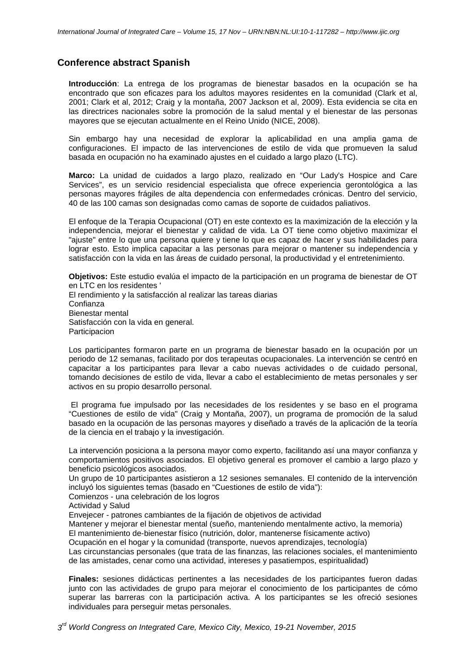## **Conference abstract Spanish**

**Introducción**: La entrega de los programas de bienestar basados en la ocupación se ha encontrado que son eficazes para los adultos mayores residentes en la comunidad (Clark et al, 2001; Clark et al, 2012; Craig y la montaña, 2007 Jackson et al, 2009). Esta evidencia se cita en las directrices nacionales sobre la promoción de la salud mental y el bienestar de las personas mayores que se ejecutan actualmente en el Reino Unido (NICE, 2008).

Sin embargo hay una necesidad de explorar la aplicabilidad en una amplia gama de configuraciones. El impacto de las intervenciones de estilo de vida que promueven la salud basada en ocupación no ha examinado ajustes en el cuidado a largo plazo (LTC).

**Marco:** La unidad de cuidados a largo plazo, realizado en "Our Lady's Hospice and Care Services", es un servicio residencial especialista que ofrece experiencia gerontológica a las personas mayores frágiles de alta dependencia con enfermedades crónicas. Dentro del servicio, 40 de las 100 camas son designadas como camas de soporte de cuidados paliativos.

El enfoque de la Terapia Ocupacional (OT) en este contexto es la maximización de la elección y la independencia, mejorar el bienestar y calidad de vida. La OT tiene como objetivo maximizar el "ajuste" entre lo que una persona quiere y tiene lo que es capaz de hacer y sus habilidades para lograr esto. Esto implica capacitar a las personas para mejorar o mantener su independencia y satisfacción con la vida en las áreas de cuidado personal, la productividad y el entretenimiento.

**Objetivos:** Este estudio evalúa el impacto de la participación en un programa de bienestar de OT en LTC en los residentes '

El rendimiento y la satisfacción al realizar las tareas diarias Confianza Bienestar mental Satisfacción con la vida en general. **Participacion** 

Los participantes formaron parte en un programa de bienestar basado en la ocupación por un periodo de 12 semanas, facilitado por dos terapeutas ocupacionales. La intervención se centró en capacitar a los participantes para llevar a cabo nuevas actividades o de cuidado personal, tomando decisiones de estilo de vida, llevar a cabo el establecimiento de metas personales y ser activos en su propio desarrollo personal.

El programa fue impulsado por las necesidades de los residentes y se baso en el programa "Cuestiones de estilo de vida" (Craig y Montaña, 2007), un programa de promoción de la salud basado en la ocupación de las personas mayores y diseñado a través de la aplicación de la teoría de la ciencia en el trabajo y la investigación.

La intervención posiciona a la persona mayor como experto, facilitando así una mayor confianza y comportamientos positivos asociados. El objetivo general es promover el cambio a largo plazo y beneficio psicológicos asociados.

Un grupo de 10 participantes asistieron a 12 sesiones semanales. El contenido de la intervención incluyó los siguientes temas (basado en "Cuestiones de estilo de vida"):

Comienzos - una celebración de los logros

Actividad y Salud

Envejecer - patrones cambiantes de la fijación de objetivos de actividad

Mantener y mejorar el bienestar mental (sueño, manteniendo mentalmente activo, la memoria)

El mantenimiento de-bienestar físico (nutrición, dolor, mantenerse físicamente activo)

Ocupación en el hogar y la comunidad (transporte, nuevos aprendizajes, tecnología)

Las circunstancias personales (que trata de las finanzas, las relaciones sociales, el mantenimiento de las amistades, cenar como una actividad, intereses y pasatiempos, espiritualidad)

**Finales:** sesiones didácticas pertinentes a las necesidades de los participantes fueron dadas junto con las actividades de grupo para mejorar el conocimiento de los participantes de cómo superar las barreras con la participación activa. A los participantes se les ofreció sesiones individuales para perseguir metas personales.